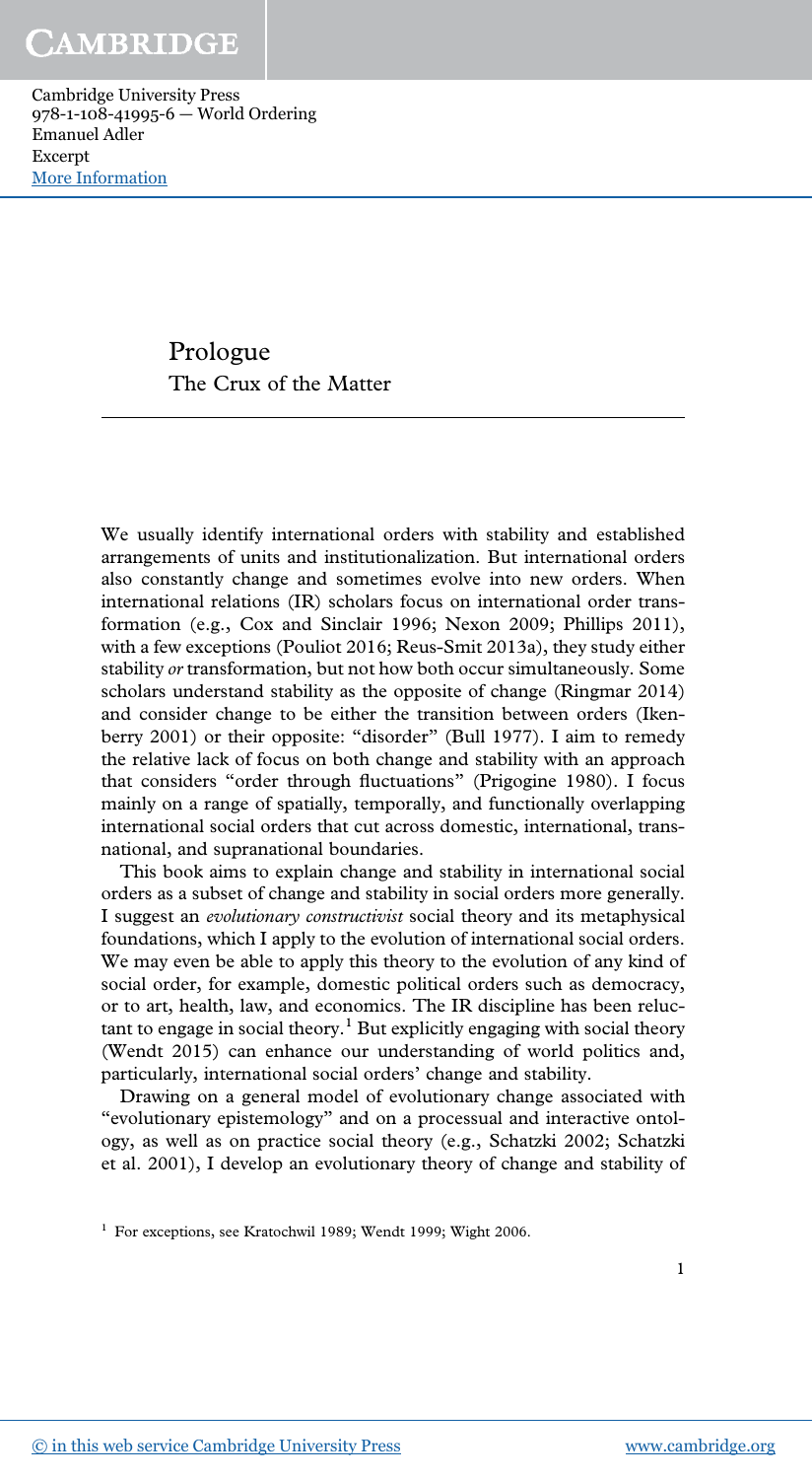> Prologue The Crux of the Matter

We usually identify international orders with stability and established arrangements of units and institutionalization. But international orders also constantly change and sometimes evolve into new orders. When international relations (IR) scholars focus on international order transformation (e.g., Cox and Sinclair 1996; Nexon 2009; Phillips 2011), with a few exceptions (Pouliot 2016; Reus-Smit 2013a), they study either stability *or* transformation, but not how both occur simultaneously. Some scholars understand stability as the opposite of change (Ringmar 2014) and consider change to be either the transition between orders (Ikenberry 2001) or their opposite: "disorder" (Bull 1977). I aim to remedy the relative lack of focus on both change and stability with an approach that considers "order through fluctuations" (Prigogine 1980). I focus mainly on a range of spatially, temporally, and functionally overlapping international social orders that cut across domestic, international, transnational, and supranational boundaries.

This book aims to explain change and stability in international social orders as a subset of change and stability in social orders more generally. I suggest an *evolutionary constructivist* social theory and its metaphysical foundations, which I apply to the evolution of international social orders. We may even be able to apply this theory to the evolution of any kind of social order, for example, domestic political orders such as democracy, or to art, health, law, and economics. The IR discipline has been reluctant to engage in social theory.<sup>1</sup> But explicitly engaging with social theory (Wendt 2015) can enhance our understanding of world politics and, particularly, international social orders' change and stability.

Drawing on a general model of evolutionary change associated with "evolutionary epistemology" and on a processual and interactive ontology, as well as on practice social theory (e.g., Schatzki 2002; Schatzki et al. 2001), I develop an evolutionary theory of change and stability of

<sup>&</sup>lt;sup>1</sup> For exceptions, see Kratochwil 1989; Wendt 1999; Wight 2006.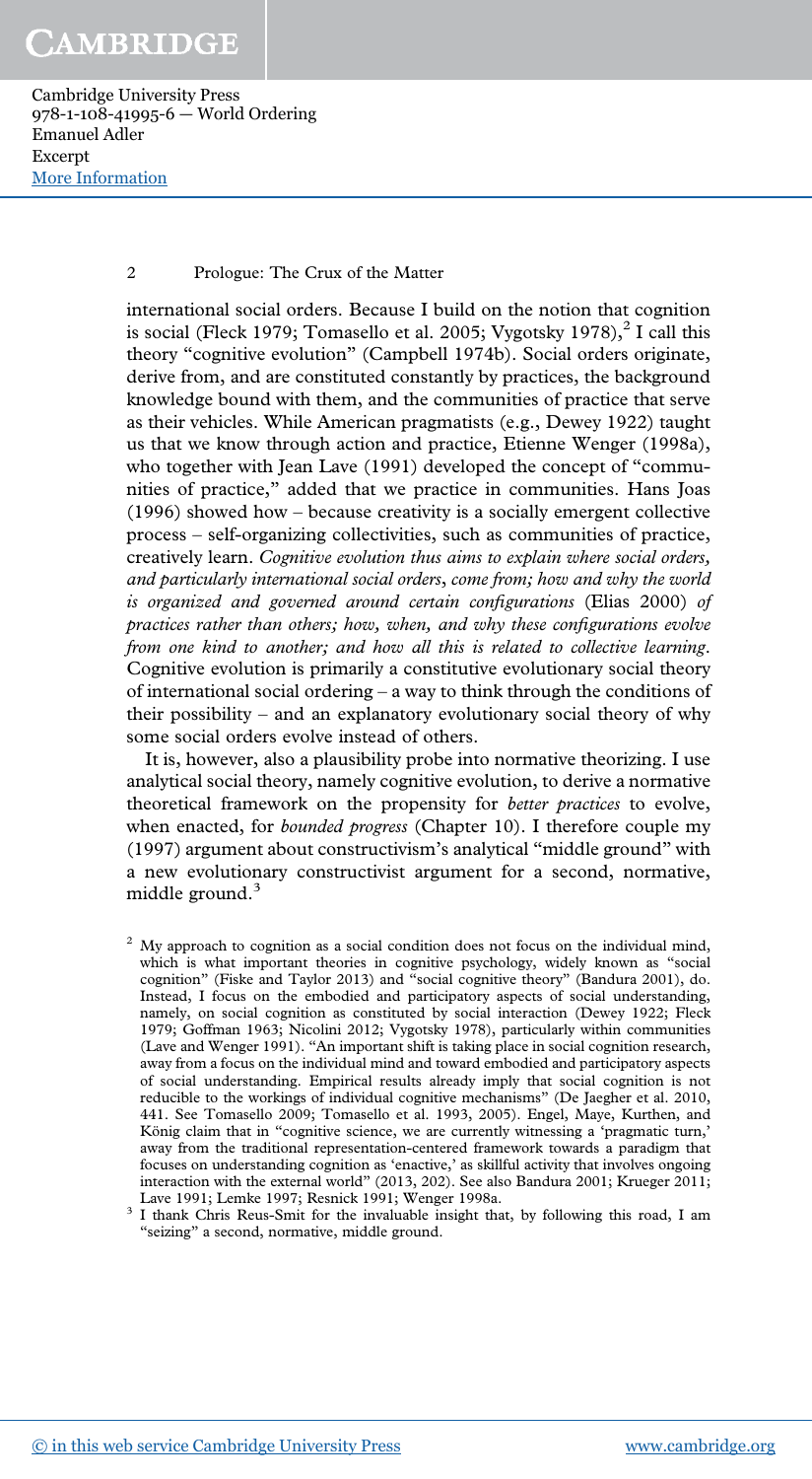## 2 Prologue: The Crux of the Matter

international social orders. Because I build on the notion that cognition is social (Fleck 1979; Tomasello et al. 2005; Vygotsky 1978), $^2$  I call this theory "cognitive evolution" (Campbell 1974b). Social orders originate, derive from, and are constituted constantly by practices, the background knowledge bound with them, and the communities of practice that serve as their vehicles. While American pragmatists (e.g., Dewey 1922) taught us that we know through action and practice, Etienne Wenger (1998a), who together with Jean Lave (1991) developed the concept of "communities of practice," added that we practice in communities. Hans Joas (1996) showed how – because creativity is a socially emergent collective process – self-organizing collectivities, such as communities of practice, creatively learn. *Cognitive evolution thus aims to explain where social orders,* and particularly international social orders, come from; how and why the world *is organized and governed around certain configurations* (Elias 2000) *of* practices rather than others; how, when, and why these configurations evolve from one kind to another; and how all this is related to collective learning. Cognitive evolution is primarily a constitutive evolutionary social theory of international social ordering – a way to think through the conditions of their possibility – and an explanatory evolutionary social theory of why some social orders evolve instead of others.

It is, however, also a plausibility probe into normative theorizing. I use analytical social theory, namely cognitive evolution, to derive a normative theoretical framework on the propensity for *better practices* to evolve, when enacted, for *bounded progress* (Chapter 10). I therefore couple my (1997) argument about constructivism's analytical "middle ground" with a new evolutionary constructivist argument for a second, normative, middle ground. $3$ 

 $<sup>2</sup>$  My approach to cognition as a social condition does not focus on the individual mind,</sup> which is what important theories in cognitive psychology, widely known as "social cognition" (Fiske and Taylor 2013) and "social cognitive theory" (Bandura 2001), do. Instead, I focus on the embodied and participatory aspects of social understanding, namely, on social cognition as constituted by social interaction (Dewey 1922; Fleck 1979; Goffman 1963; Nicolini 2012; Vygotsky 1978), particularly within communities (Lave and Wenger 1991). "An important shift is taking place in social cognition research, away from a focus on the individual mind and toward embodied and participatory aspects of social understanding. Empirical results already imply that social cognition is not reducible to the workings of individual cognitive mechanisms" (De Jaegher et al. 2010, 441. See Tomasello 2009; Tomasello et al. 1993, 2005). Engel, Maye, Kurthen, and König claim that in "cognitive science, we are currently witnessing a 'pragmatic turn,' away from the traditional representation-centered framework towards a paradigm that focuses on understanding cognition as 'enactive,' as skillful activity that involves ongoing interaction with the external world" (2013, 202). See also Bandura 2001; Krueger 2011; Lave 1991; Lemke 1997; Resnick 1991; Wenger 1998a.

<sup>3</sup> I thank Chris Reus-Smit for the invaluable insight that, by following this road, I am "seizing" a second, normative, middle ground.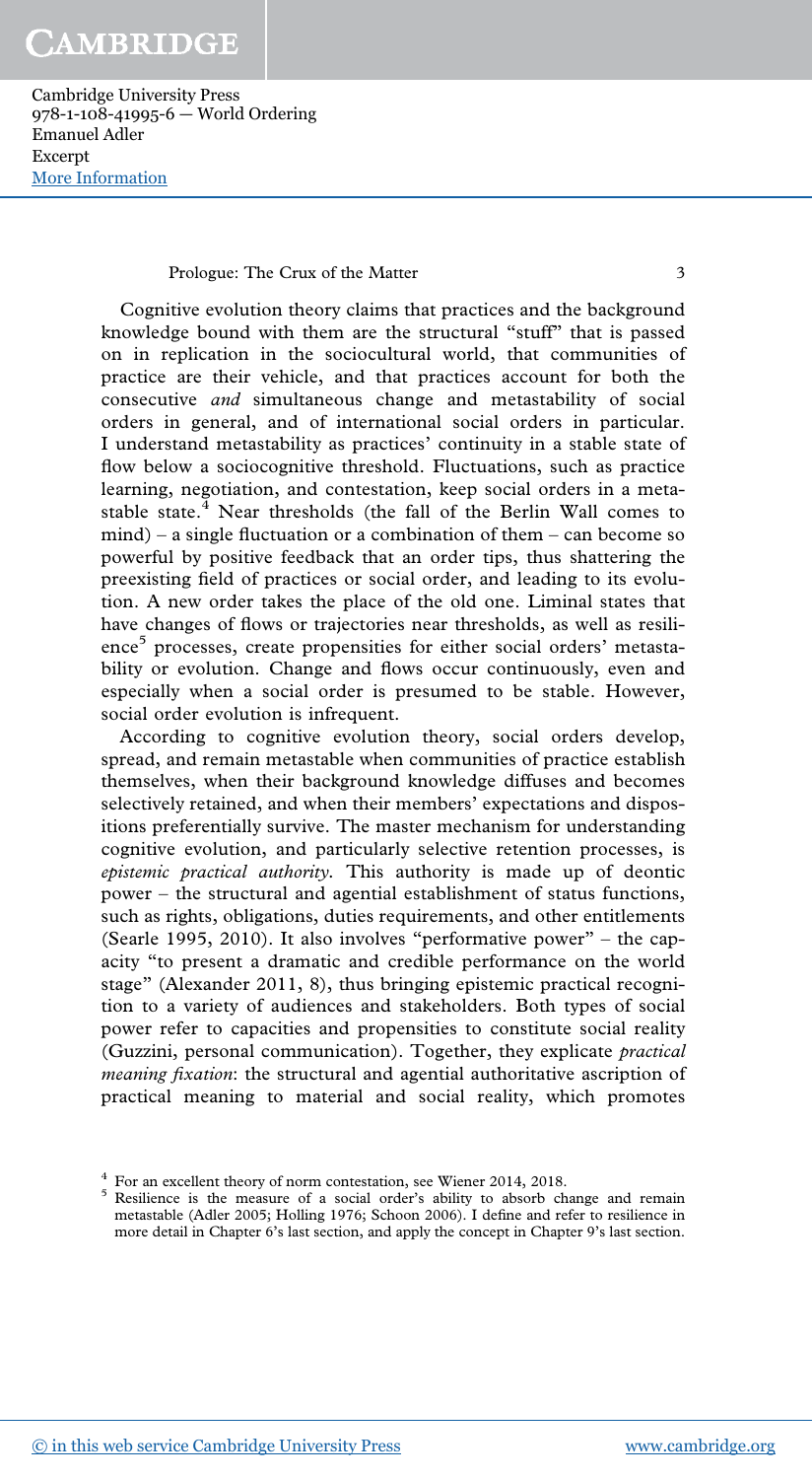Cambridge University Press 978-1-108-41995-6 — World Ordering Emanuel Adler Excerpt [More Information](www.cambridge.org/9781108419956)

#### Prologue: The Crux of the Matter 3

Cognitive evolution theory claims that practices and the background knowledge bound with them are the structural "stuff" that is passed on in replication in the sociocultural world, that communities of practice are their vehicle, and that practices account for both the consecutive *and* simultaneous change and metastability of social orders in general, and of international social orders in particular. I understand metastability as practices' continuity in a stable state of flow below a sociocognitive threshold. Fluctuations, such as practice learning, negotiation, and contestation, keep social orders in a metastable state.<sup>4</sup> Near thresholds (the fall of the Berlin Wall comes to mind) – a single fluctuation or a combination of them – can become so powerful by positive feedback that an order tips, thus shattering the preexisting field of practices or social order, and leading to its evolution. A new order takes the place of the old one. Liminal states that have changes of flows or trajectories near thresholds, as well as resilience<sup>5</sup> processes, create propensities for either social orders' metastability or evolution. Change and flows occur continuously, even and especially when a social order is presumed to be stable. However, social order evolution is infrequent.

According to cognitive evolution theory, social orders develop, spread, and remain metastable when communities of practice establish themselves, when their background knowledge diffuses and becomes selectively retained, and when their members' expectations and dispositions preferentially survive. The master mechanism for understanding cognitive evolution, and particularly selective retention processes, is *epistemic practical authority.* This authority is made up of deontic power – the structural and agential establishment of status functions, such as rights, obligations, duties requirements, and other entitlements (Searle 1995, 2010). It also involves "performative power" – the capacity "to present a dramatic and credible performance on the world stage" (Alexander 2011, 8), thus bringing epistemic practical recognition to a variety of audiences and stakeholders. Both types of social power refer to capacities and propensities to constitute social reality (Guzzini, personal communication). Together, they explicate *practical meaning fixation*: the structural and agential authoritative ascription of practical meaning to material and social reality, which promotes

 $4$  For an excellent theory of norm contestation, see Wiener 2014, 2018.

<sup>&</sup>lt;sup>5</sup> Resilience is the measure of a social order's ability to absorb change and remain metastable (Adler 2005; Holling 1976; Schoon 2006). I define and refer to resilience in more detail in Chapter 6's last section, and apply the concept in Chapter 9's last section.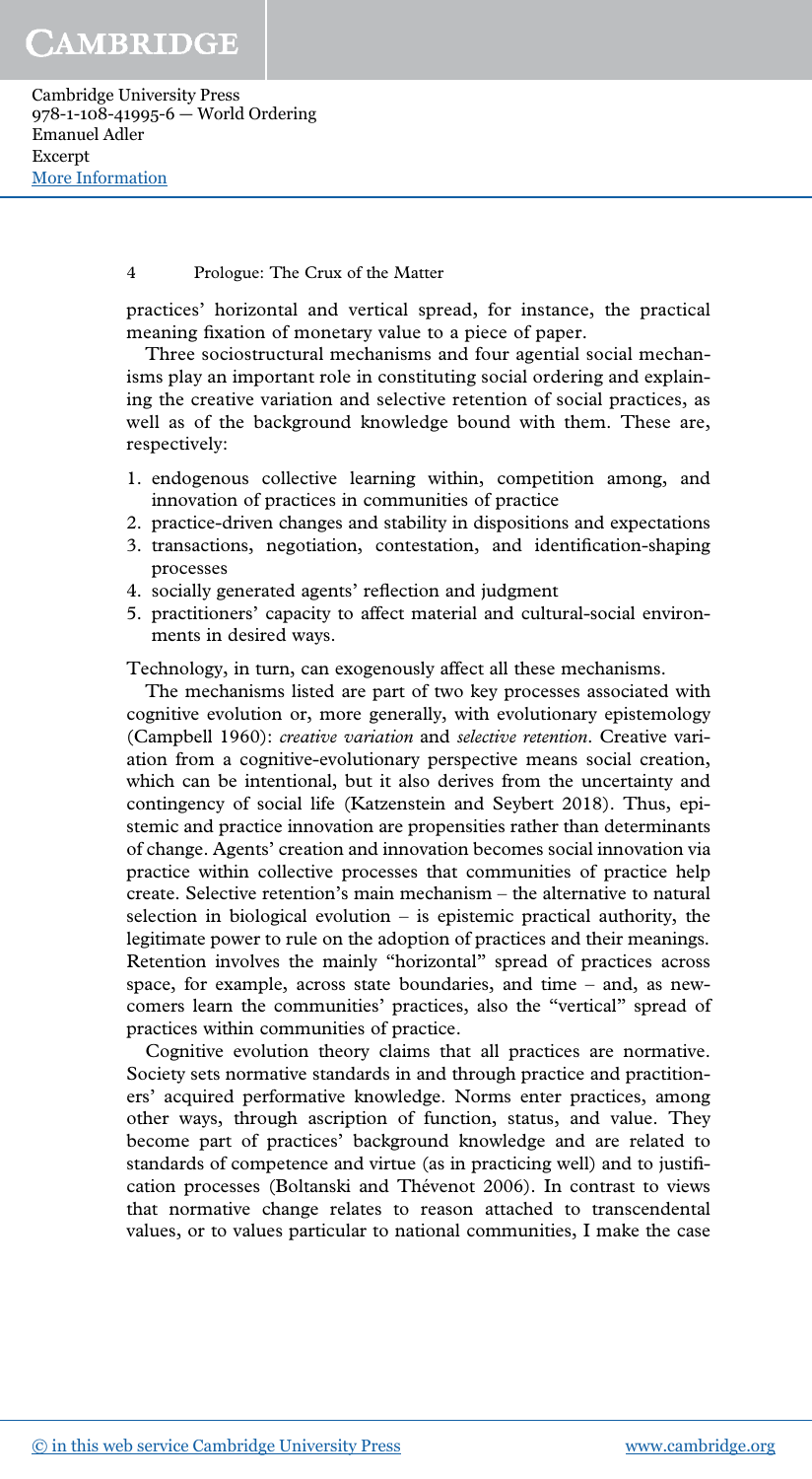### 4 Prologue: The Crux of the Matter

practices' horizontal and vertical spread, for instance, the practical meaning fixation of monetary value to a piece of paper.

Three sociostructural mechanisms and four agential social mechanisms play an important role in constituting social ordering and explaining the creative variation and selective retention of social practices, as well as of the background knowledge bound with them. These are, respectively:

- 1. endogenous collective learning within, competition among, and innovation of practices in communities of practice
- 2. practice-driven changes and stability in dispositions and expectations
- 3. transactions, negotiation, contestation, and identification-shaping processes
- 4. socially generated agents' reflection and judgment
- 5. practitioners' capacity to affect material and cultural-social environments in desired ways.

Technology, in turn, can exogenously affect all these mechanisms.

The mechanisms listed are part of two key processes associated with cognitive evolution or, more generally, with evolutionary epistemology (Campbell 1960): *creative variation* and *selective retention*. Creative variation from a cognitive-evolutionary perspective means social creation, which can be intentional, but it also derives from the uncertainty and contingency of social life (Katzenstein and Seybert 2018). Thus, epistemic and practice innovation are propensities rather than determinants of change. Agents' creation and innovation becomes social innovation via practice within collective processes that communities of practice help create. Selective retention's main mechanism – the alternative to natural selection in biological evolution – is epistemic practical authority, the legitimate power to rule on the adoption of practices and their meanings*.* Retention involves the mainly "horizontal" spread of practices across space, for example, across state boundaries, and time – and, as newcomers learn the communities' practices, also the "vertical" spread of practices within communities of practice.

Cognitive evolution theory claims that all practices are normative. Society sets normative standards in and through practice and practitioners' acquired performative knowledge. Norms enter practices, among other ways, through ascription of function, status, and value. They become part of practices' background knowledge and are related to standards of competence and virtue (as in practicing well) and to justification processes (Boltanski and Thévenot 2006). In contrast to views that normative change relates to reason attached to transcendental values, or to values particular to national communities, I make the case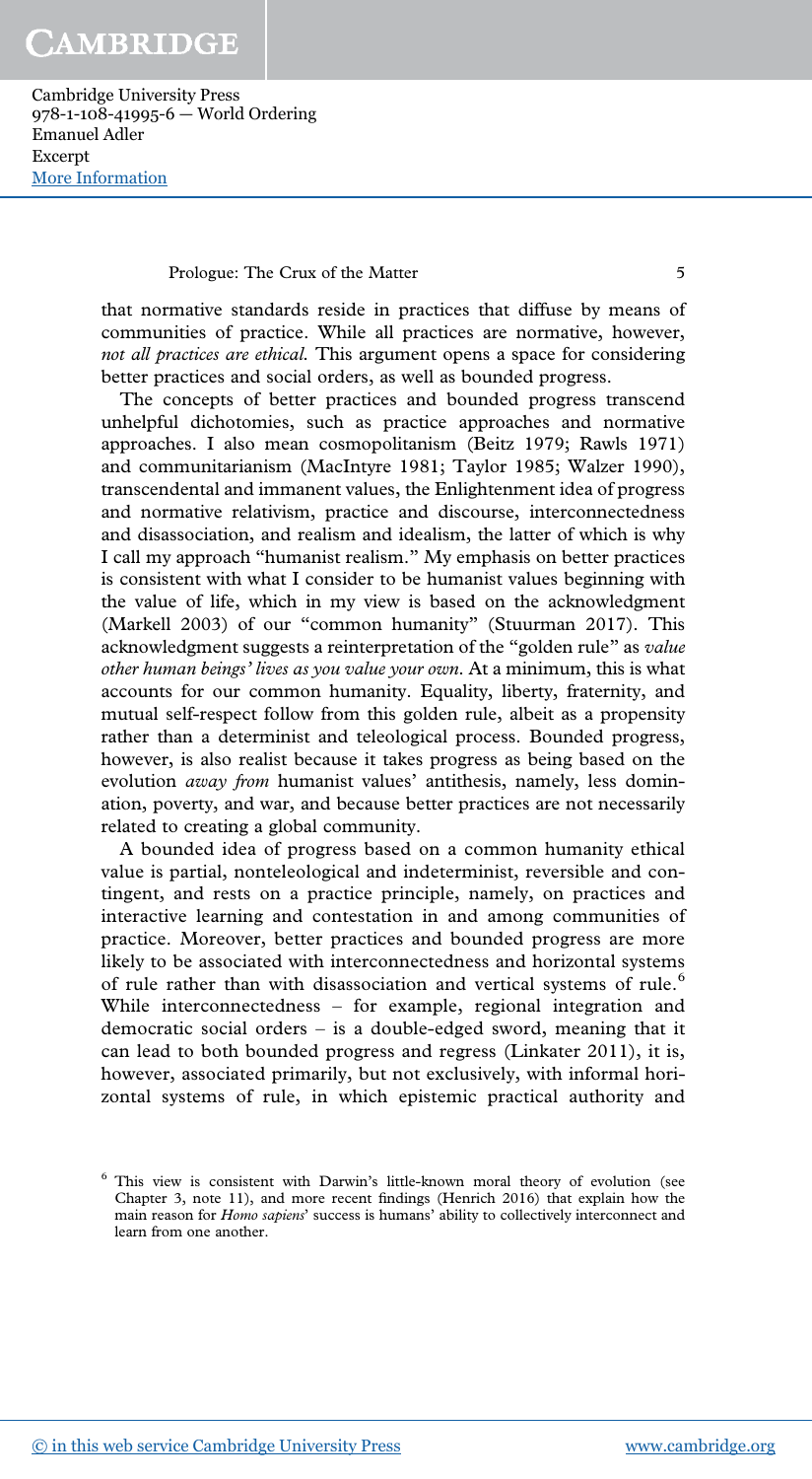Cambridge University Press 978-1-108-41995-6 — World Ordering Emanuel Adler Excerpt [More Information](www.cambridge.org/9781108419956)

### Prologue: The Crux of the Matter 5

that normative standards reside in practices that diffuse by means of communities of practice. While all practices are normative, however, *not all practices are ethical.* This argument opens a space for considering better practices and social orders, as well as bounded progress.

The concepts of better practices and bounded progress transcend unhelpful dichotomies, such as practice approaches and normative approaches. I also mean cosmopolitanism (Beitz 1979; Rawls 1971) and communitarianism (MacIntyre 1981; Taylor 1985; Walzer 1990), transcendental and immanent values, the Enlightenment idea of progress and normative relativism, practice and discourse, interconnectedness and disassociation, and realism and idealism, the latter of which is why I call my approach "humanist realism." My emphasis on better practices is consistent with what I consider to be humanist values beginning with the value of life, which in my view is based on the acknowledgment (Markell 2003) of our "common humanity" (Stuurman 2017). This acknowledgment suggests a reinterpretation of the "golden rule" as *value other human beings' lives as you value your own*. At a minimum, this is what accounts for our common humanity. Equality, liberty, fraternity, and mutual self-respect follow from this golden rule, albeit as a propensity rather than a determinist and teleological process. Bounded progress, however, is also realist because it takes progress as being based on the evolution *away from* humanist values' antithesis, namely, less domination, poverty, and war, and because better practices are not necessarily related to creating a global community.

A bounded idea of progress based on a common humanity ethical value is partial, nonteleological and indeterminist, reversible and contingent, and rests on a practice principle, namely, on practices and interactive learning and contestation in and among communities of practice. Moreover, better practices and bounded progress are more likely to be associated with interconnectedness and horizontal systems of rule rather than with disassociation and vertical systems of rule.<sup>6</sup> While interconnectedness – for example, regional integration and democratic social orders – is a double-edged sword, meaning that it can lead to both bounded progress and regress (Linkater 2011), it is, however, associated primarily, but not exclusively, with informal horizontal systems of rule, in which epistemic practical authority and

<sup>6</sup> This view is consistent with Darwin's little-known moral theory of evolution (see Chapter 3, note 11), and more recent findings (Henrich 2016) that explain how the main reason for *Homo sapiens*' success is humans' ability to collectively interconnect and learn from one another.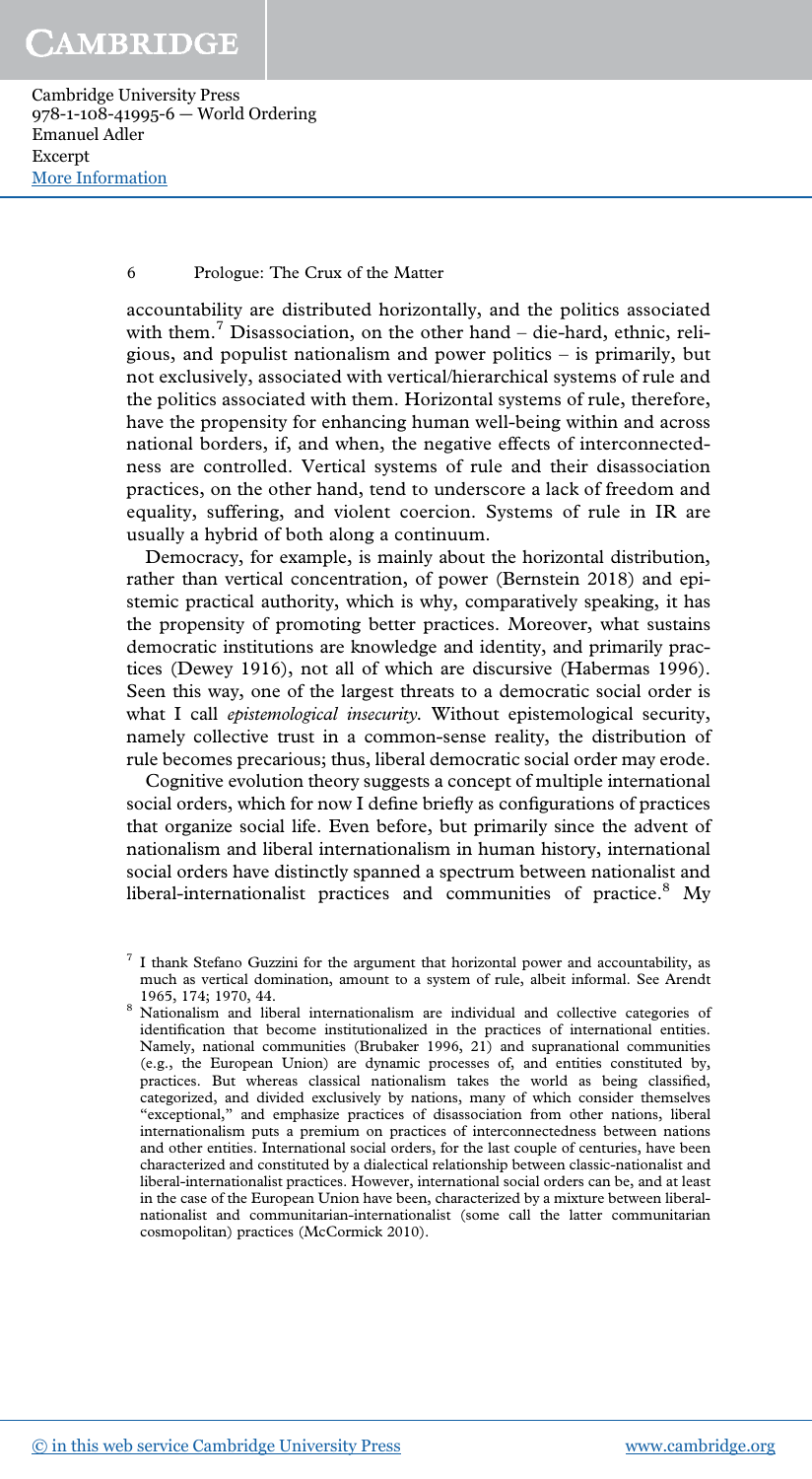### 6 Prologue: The Crux of the Matter

accountability are distributed horizontally, and the politics associated with them.<sup>7</sup> Disassociation, on the other hand  $-$  die-hard, ethnic, religious, and populist nationalism and power politics – is primarily, but not exclusively, associated with vertical/hierarchical systems of rule and the politics associated with them. Horizontal systems of rule, therefore, have the propensity for enhancing human well-being within and across national borders, if, and when, the negative effects of interconnectedness are controlled. Vertical systems of rule and their disassociation practices, on the other hand, tend to underscore a lack of freedom and equality, suffering, and violent coercion. Systems of rule in IR are usually a hybrid of both along a continuum.

Democracy, for example, is mainly about the horizontal distribution, rather than vertical concentration, of power (Bernstein 2018) and epistemic practical authority, which is why, comparatively speaking, it has the propensity of promoting better practices. Moreover, what sustains democratic institutions are knowledge and identity, and primarily practices (Dewey 1916), not all of which are discursive (Habermas 1996). Seen this way, one of the largest threats to a democratic social order is what I call *epistemological insecurity.* Without epistemological security, namely collective trust in a common-sense reality, the distribution of rule becomes precarious; thus, liberal democratic social order may erode.

Cognitive evolution theory suggests a concept of multiple international social orders, which for now I define briefly as configurations of practices that organize social life. Even before, but primarily since the advent of nationalism and liberal internationalism in human history, international social orders have distinctly spanned a spectrum between nationalist and liberal-internationalist practices and communities of practice. $8$  My

 $7$  I thank Stefano Guzzini for the argument that horizontal power and accountability, as much as vertical domination, amount to a system of rule, albeit informal. See Arendt 1965, 174; 1970, 44.

<sup>8</sup> Nationalism and liberal internationalism are individual and collective categories of identification that become institutionalized in the practices of international entities. Namely, national communities (Brubaker 1996, 21) and supranational communities (e.g., the European Union) are dynamic processes of, and entities constituted by, practices. But whereas classical nationalism takes the world as being classified, categorized, and divided exclusively by nations, many of which consider themselves "exceptional," and emphasize practices of disassociation from other nations, liberal internationalism puts a premium on practices of interconnectedness between nations and other entities. International social orders, for the last couple of centuries, have been characterized and constituted by a dialectical relationship between classic-nationalist and liberal-internationalist practices. However, international social orders can be, and at least in the case of the European Union have been, characterized by a mixture between liberalnationalist and communitarian-internationalist (some call the latter communitarian cosmopolitan) practices (McCormick 2010).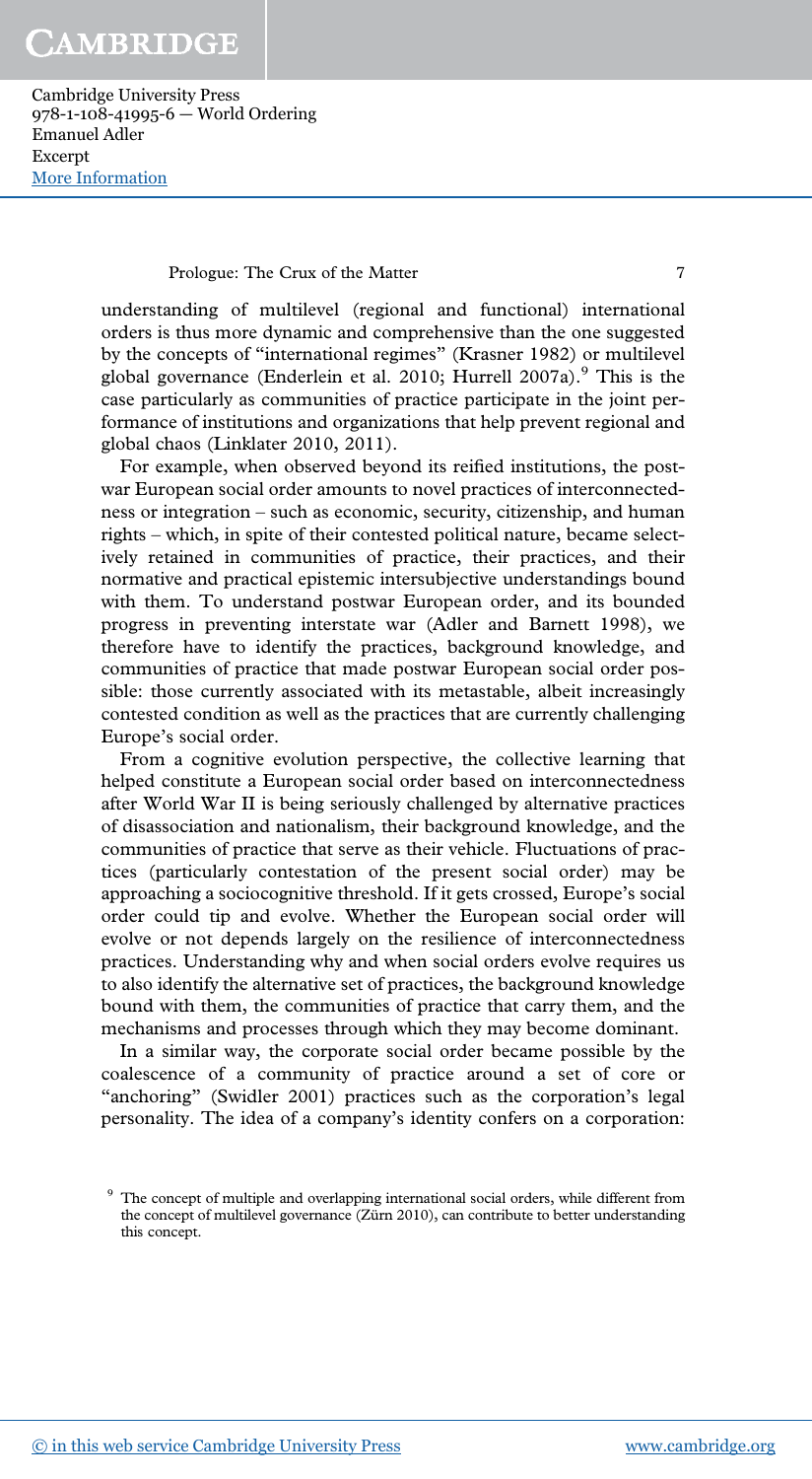Cambridge University Press 978-1-108-41995-6 — World Ordering Emanuel Adler Excerpt [More Information](www.cambridge.org/9781108419956)

### Prologue: The Crux of the Matter 7

understanding of multilevel (regional and functional) international orders is thus more dynamic and comprehensive than the one suggested by the concepts of "international regimes" (Krasner 1982) or multilevel global governance (Enderlein et al. 2010; Hurrell 2007a).<sup>9</sup> This is the case particularly as communities of practice participate in the joint performance of institutions and organizations that help prevent regional and global chaos (Linklater 2010, 2011).

For example, when observed beyond its reified institutions, the postwar European social order amounts to novel practices of interconnectedness or integration – such as economic, security, citizenship, and human rights – which, in spite of their contested political nature, became selectively retained in communities of practice, their practices, and their normative and practical epistemic intersubjective understandings bound with them. To understand postwar European order, and its bounded progress in preventing interstate war (Adler and Barnett 1998), we therefore have to identify the practices, background knowledge, and communities of practice that made postwar European social order possible: those currently associated with its metastable, albeit increasingly contested condition as well as the practices that are currently challenging Europe's social order.

From a cognitive evolution perspective, the collective learning that helped constitute a European social order based on interconnectedness after World War II is being seriously challenged by alternative practices of disassociation and nationalism, their background knowledge, and the communities of practice that serve as their vehicle. Fluctuations of practices (particularly contestation of the present social order) may be approaching a sociocognitive threshold. If it gets crossed, Europe's social order could tip and evolve. Whether the European social order will evolve or not depends largely on the resilience of interconnectedness practices. Understanding why and when social orders evolve requires us to also identify the alternative set of practices, the background knowledge bound with them, the communities of practice that carry them, and the mechanisms and processes through which they may become dominant.

In a similar way, the corporate social order became possible by the coalescence of a community of practice around a set of core or "anchoring" (Swidler 2001) practices such as the corporation's legal personality. The idea of a company's identity confers on a corporation:

<sup>9</sup> The concept of multiple and overlapping international social orders, while different from the concept of multilevel governance (Zürn 2010), can contribute to better understanding this concept.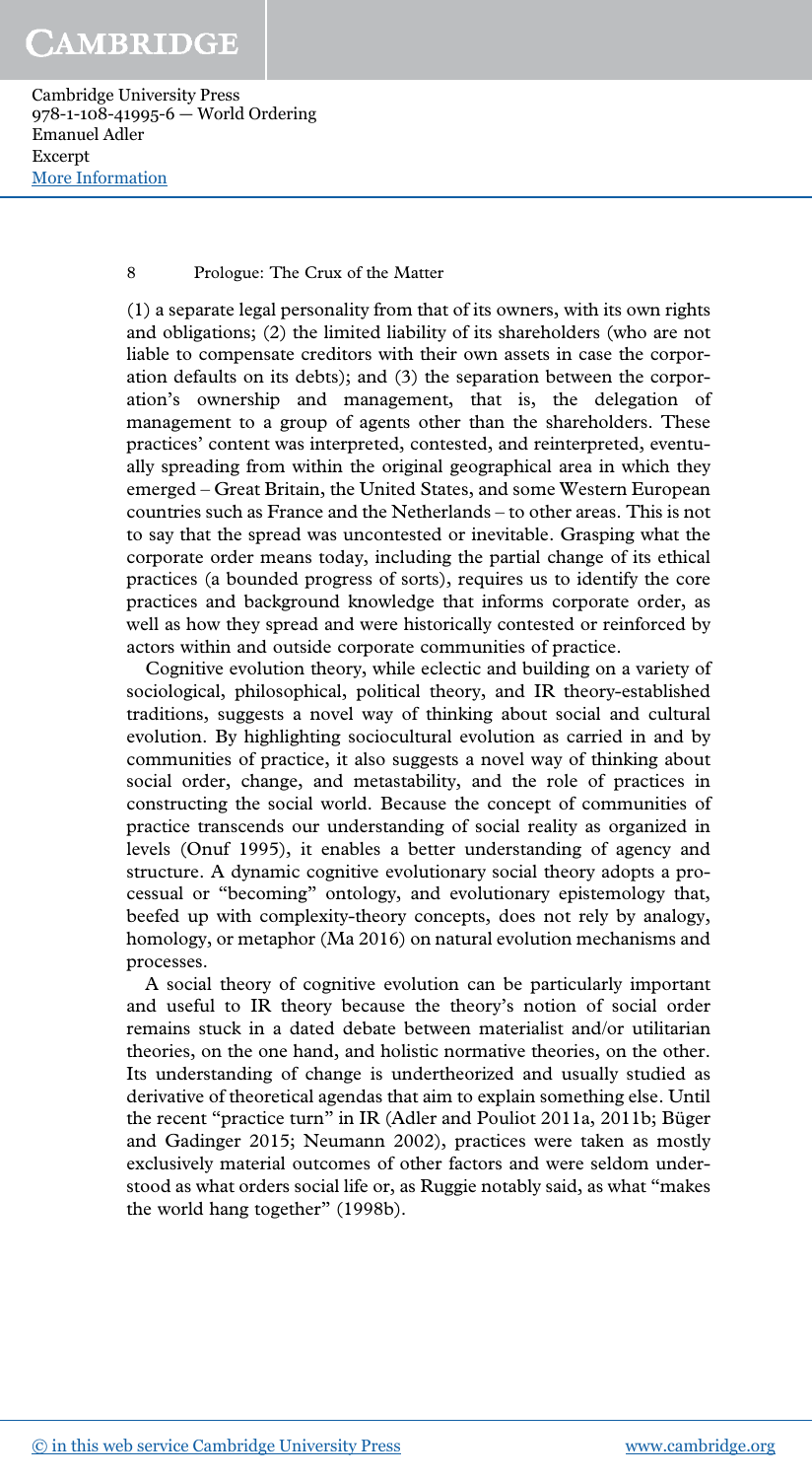## 8 Prologue: The Crux of the Matter

(1) a separate legal personality from that of its owners, with its own rights and obligations; (2) the limited liability of its shareholders (who are not liable to compensate creditors with their own assets in case the corporation defaults on its debts); and (3) the separation between the corporation's ownership and management, that is, the delegation of management to a group of agents other than the shareholders. These practices' content was interpreted, contested, and reinterpreted, eventually spreading from within the original geographical area in which they emerged – Great Britain, the United States, and some Western European countries such as France and the Netherlands – to other areas. This is not to say that the spread was uncontested or inevitable. Grasping what the corporate order means today, including the partial change of its ethical practices (a bounded progress of sorts), requires us to identify the core practices and background knowledge that informs corporate order, as well as how they spread and were historically contested or reinforced by actors within and outside corporate communities of practice.

Cognitive evolution theory, while eclectic and building on a variety of sociological, philosophical, political theory, and IR theory-established traditions, suggests a novel way of thinking about social and cultural evolution. By highlighting sociocultural evolution as carried in and by communities of practice, it also suggests a novel way of thinking about social order, change, and metastability, and the role of practices in constructing the social world. Because the concept of communities of practice transcends our understanding of social reality as organized in levels (Onuf 1995), it enables a better understanding of agency and structure. A dynamic cognitive evolutionary social theory adopts a processual or "becoming" ontology, and evolutionary epistemology that, beefed up with complexity-theory concepts, does not rely by analogy, homology, or metaphor (Ma 2016) on natural evolution mechanisms and processes.

A social theory of cognitive evolution can be particularly important and useful to IR theory because the theory's notion of social order remains stuck in a dated debate between materialist and/or utilitarian theories, on the one hand, and holistic normative theories, on the other. Its understanding of change is undertheorized and usually studied as derivative of theoretical agendas that aim to explain something else. Until the recent "practice turn" in IR (Adler and Pouliot 2011a, 2011b; Büger and Gadinger 2015; Neumann 2002), practices were taken as mostly exclusively material outcomes of other factors and were seldom understood as what orders social life or, as Ruggie notably said, as what "makes the world hang together" (1998b).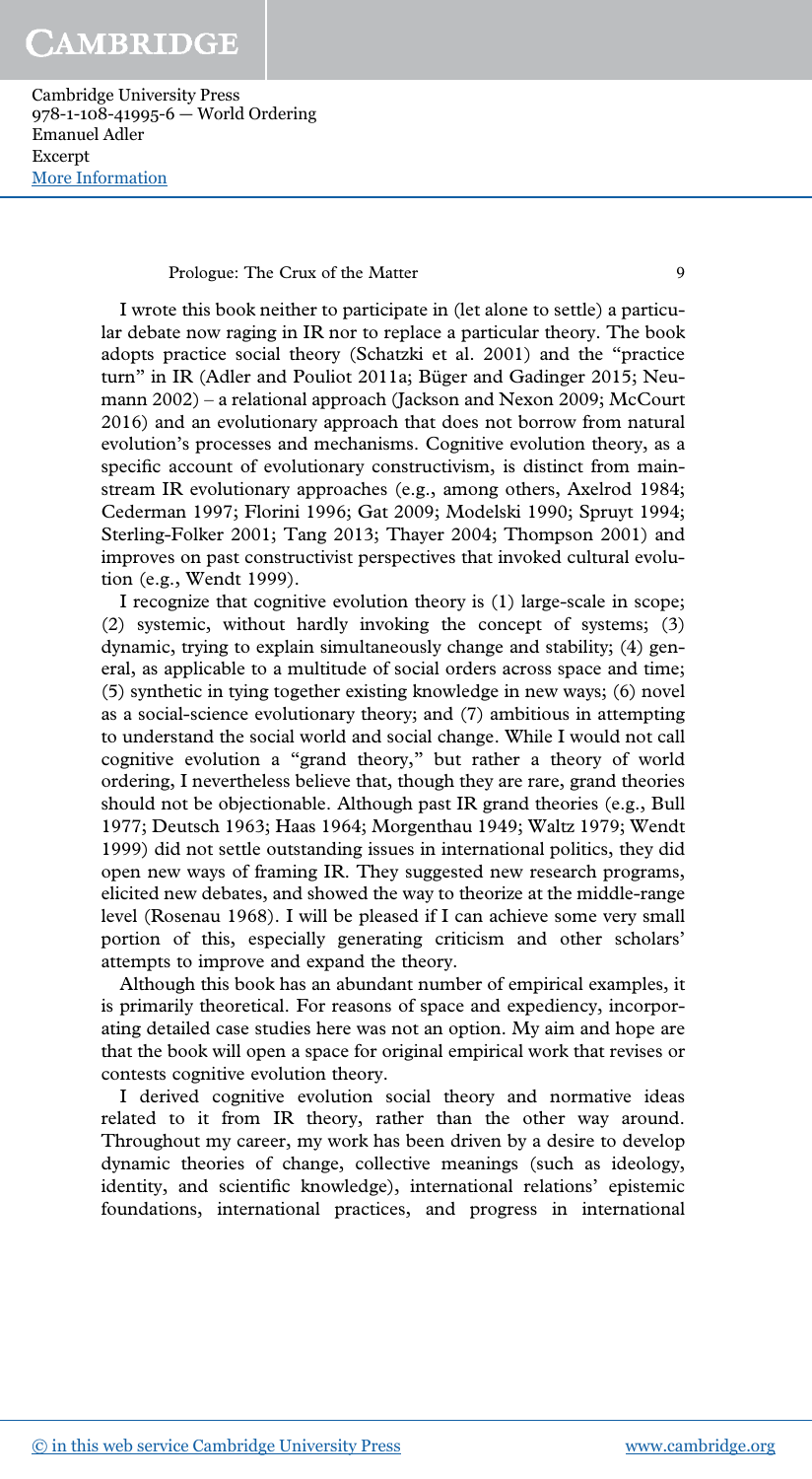Cambridge University Press 978-1-108-41995-6 — World Ordering Emanuel Adler Excerpt [More Information](www.cambridge.org/9781108419956)

### Prologue: The Crux of the Matter 9

I wrote this book neither to participate in (let alone to settle) a particular debate now raging in IR nor to replace a particular theory. The book adopts practice social theory (Schatzki et al. 2001) and the "practice turn" in IR (Adler and Pouliot 2011a; Büger and Gadinger 2015; Neumann 2002) – a relational approach (Jackson and Nexon 2009; McCourt 2016) and an evolutionary approach that does not borrow from natural evolution's processes and mechanisms. Cognitive evolution theory, as a specific account of evolutionary constructivism, is distinct from mainstream IR evolutionary approaches (e.g., among others, Axelrod 1984; Cederman 1997; Florini 1996; Gat 2009; Modelski 1990; Spruyt 1994; Sterling-Folker 2001; Tang 2013; Thayer 2004; Thompson 2001) and improves on past constructivist perspectives that invoked cultural evolution (e.g., Wendt 1999).

I recognize that cognitive evolution theory is (1) large-scale in scope; (2) systemic, without hardly invoking the concept of systems; (3) dynamic, trying to explain simultaneously change and stability; (4) general, as applicable to a multitude of social orders across space and time; (5) synthetic in tying together existing knowledge in new ways; (6) novel as a social-science evolutionary theory; and (7) ambitious in attempting to understand the social world and social change. While I would not call cognitive evolution a "grand theory," but rather a theory of world ordering, I nevertheless believe that, though they are rare, grand theories should not be objectionable. Although past IR grand theories (e.g., Bull 1977; Deutsch 1963; Haas 1964; Morgenthau 1949; Waltz 1979; Wendt 1999) did not settle outstanding issues in international politics, they did open new ways of framing IR. They suggested new research programs, elicited new debates, and showed the way to theorize at the middle-range level (Rosenau 1968). I will be pleased if I can achieve some very small portion of this, especially generating criticism and other scholars' attempts to improve and expand the theory.

Although this book has an abundant number of empirical examples, it is primarily theoretical. For reasons of space and expediency, incorporating detailed case studies here was not an option. My aim and hope are that the book will open a space for original empirical work that revises or contests cognitive evolution theory.

I derived cognitive evolution social theory and normative ideas related to it from IR theory, rather than the other way around. Throughout my career, my work has been driven by a desire to develop dynamic theories of change, collective meanings (such as ideology, identity, and scientific knowledge), international relations' epistemic foundations, international practices, and progress in international